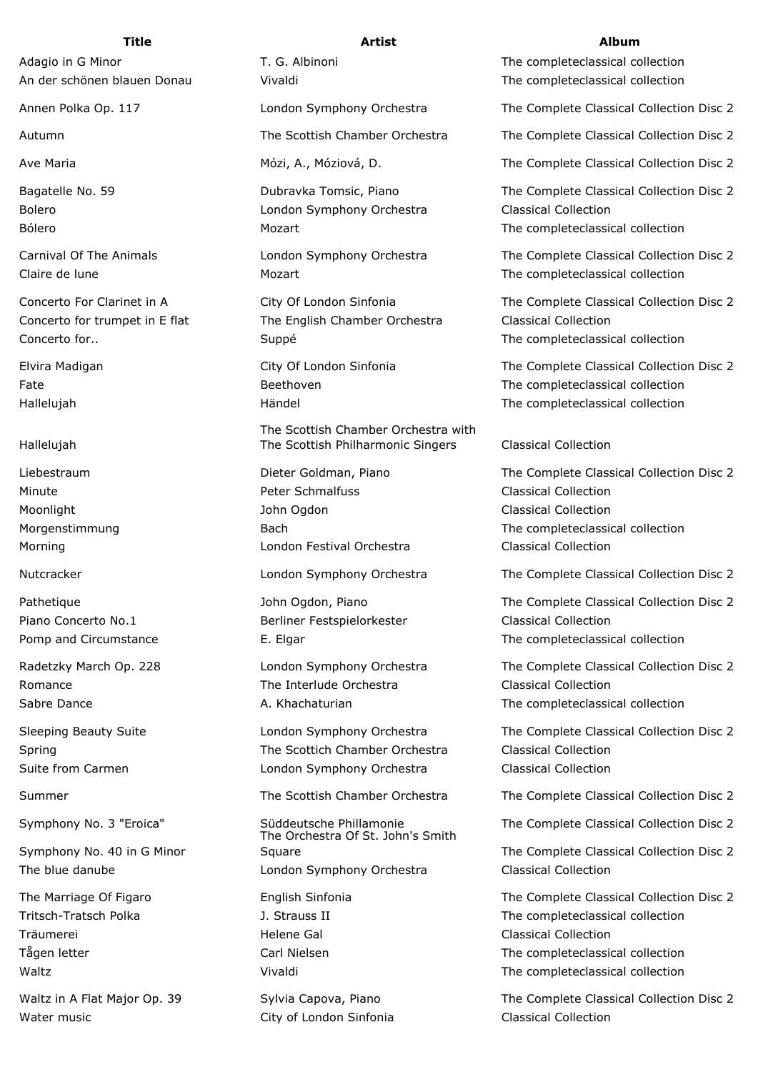Hallelujah

Symphony No. 40 in G Minor

Träumerei Helene Gal Classical Collection

Water music **City of London Sinfonia** Classical Collection

Adagio in G Minor T. G. Albinoni T. G. Albinoni The completeclassical collection

Bolero London Symphony Orchestra Classical Collection

Concerto for trumpet in E flat The English Chamber Orchestra Classical Collection

The Scottish Chamber Orchestra with The Scottish Philharmonic Singers Classical Collection

Minute Peter Schmalfuss Classical Collection Moonlight **Moonlight** Classical Collection **John Ogdon** Classical Collection Morning London Festival Orchestra Classical Collection

Piano Concerto No.1 **Berliner Festspielorkester** Classical Collection

Romance **The Interlude Orchestra** Classical Collection

Spring The Scottich Chamber Orchestra Classical Collection Suite from Carmen London Symphony Orchestra Classical Collection

The Orchestra Of St. John's Smith Square The Complete Classical Collection Disc 2 The blue danube London Symphony Orchestra Classical Collection

## **Title Artist Album**

An der schönen blauen Donau Vivaldi Vivaldi The completeclassical collection

Annen Polka Op. 117 London Symphony Orchestra The Complete Classical Collection Disc 2

Autumn The Scottish Chamber Orchestra The Complete Classical Collection Disc 2

Ave Maria **Mózi, A., Móziová, D.** The Complete Classical Collection Disc 2

Bagatelle No. 59 Dubravka Tomsic, Piano The Complete Classical Collection Disc 2 Bólero **Mozart** Mozart The completeclassical collection

Carnival Of The Animals London Symphony Orchestra The Complete Classical Collection Disc 2 Claire de lune Mozart Mozart Claire de lune Mozart Claire de lune of the completeclassical collection

Concerto For Clarinet in A City Of London Sinfonia The Complete Classical Collection Disc 2 Concerto for.. Suppé The completeclassical collection

Elvira Madigan City Of London Sinfonia The Complete Classical Collection Disc 2 Fate External The Complete External Beethoven The complete classical collection Hallelujah Händel The completeclassical collection

Liebestraum Dieter Goldman, Piano The Complete Classical Collection Disc 2 Morgenstimmung and Bach Bach The complete classical collection

Nutcracker London Symphony Orchestra The Complete Classical Collection Disc 2

Pathetique **Solution Complete Classical Collection Disc 2 John Ogdon, Piano** The Complete Classical Collection Disc 2 Pomp and Circumstance The Complete E. Elgar The complete classical collection

Radetzky March Op. 228 London Symphony Orchestra The Complete Classical Collection Disc 2 Sabre Dance **A. Khachaturian** A. Khachaturian The completeclassical collection

Sleeping Beauty Suite London Symphony Orchestra The Complete Classical Collection Disc 2

Summer The Scottish Chamber Orchestra The Complete Classical Collection Disc 2

Symphony No. 3 "Eroica" Süddeutsche Phillamonie The Complete Classical Collection Disc 2

The Marriage Of Figaro English Sinfonia The Complete Classical Collection Disc 2 Tritsch-Tratsch Polka 1. Strauss II The completeclassical collection Tågen letter The Carl Nielsen Carl Nielsen The completeclassical collection Waltz Vivaldi The completeclassical collection

Waltz in A Flat Major Op. 39 Sylvia Capova, Piano The Complete Classical Collection Disc 2